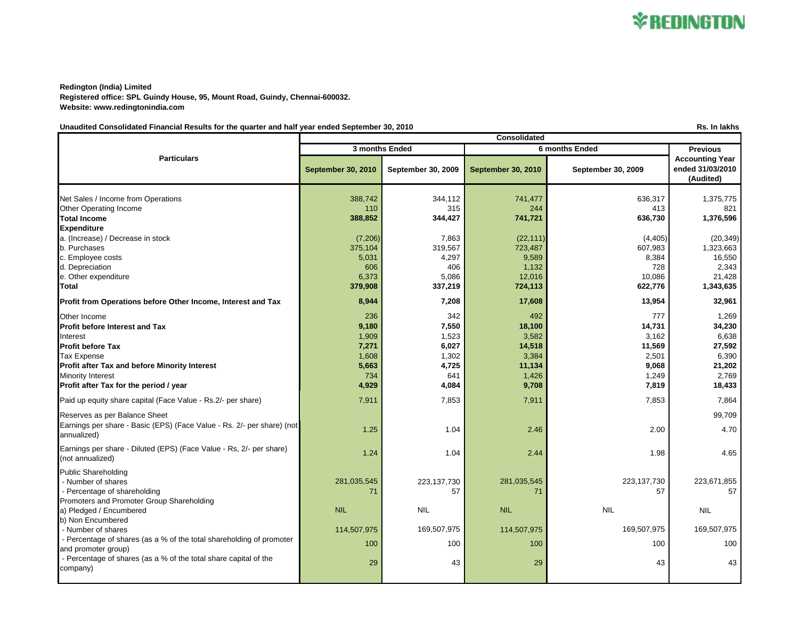

**Redington (India) Limited Registered office: SPL Guindy House, 95, Mount Road, Guindy, Chennai-600032. Website: www.redingtonindia.com**

## Unaudited Consolidated Financial Results for the quarter and half year ended September 30, 2010 **Results and September 30, 2010 Rs.** In lakhs

**September 30, 2010 September 30, 2009 September 30, 2010 September 30, 2009** Net Sales / Income from Operations 388,742 388,742 344,112 344,112 344,112 344,112 356,317 35,775 Other Operating Income 2011 2012 110 315 244 224 413 315 413 Total Income 388,852 | 344,427 | 741,721 | 636,730 | 1,376,596 **Expenditure** a. (Increase) / Decrease in stock (7,206) (7,206) (8.3 (22,111) (4,405) (4,405) (20,349) b. Purchases 375,104 319,567 723,487 607,983 1,323,663 c. Employee costs 5,031 | 4,297 | 9,589 | 16,550 d. Depreciation 606 | 406 | 1,132 | 2,343 e. Other expenditure and the set of the set of the set of the set of the set of the set of the set of the set of the set of the set of the set of the set of the set of the set of the set of the set of the set of the set of **Total 379,908 337,219 724,113 622,776 1,343,635 Profit from Operations before Other Income, Interest and Tax 8,944 8 17,208 17,608 13,954 17,608 13,954 17,608** Other Income 342 **1,269 1,269 1,269 1,269 1,269** 1,269 1,269 1,269 1,269 1,269 **Profit before Interest and Tax 9,180 7,550 18,100 14,731 34,230** Interest 1,909 l 1,523 l 3,582 l 3,162 l 6,638 Profit before Tax 7,271 | 6,027 | 14,518 | 27,592 Tax Expense 1,608 2,501 2,501 6,390 3,384 2,501 6,390 5,390 3,384 2,501 6,390 5,390 5,390 5,390 5,390 5,390 5, **Profit after Tax and before Minority Interest 6,063 121,202 5,663 121,202 11,134 5,663 121,202 11,134 9,068 121,202** Minority Interest 641 1,426 1,249 2,769 **Profit after Tax for the period / year 18,433 18,433 4,929 4,929 <b>18,433 9,708 18,433 18,433** Paid up equity share capital (Face Value - Rs.2/- per share) 7,864 7,911 7,853 7,853 7,853 7,864 Reserves as per Balance Sheet 99.709 Earnings per share - Basic (EPS) (Face Value - Rs. 2/- per share) (not  $\frac{1.25}{2.46}$  annualized) 2.00 2.46 2.00 2.00 2.00 2.00 2.00 2.00 2.170 Earnings per share - Diluted (EPS) (Face Value - Rs, 2/- per share)  $(1.04 \text{ [m]} \cdot \text{[m]} \cdot \text{[m]} \cdot \text{[m]} \cdot \text{[m]} \cdot \text{[m]} \cdot \text{[m]} \cdot \text{[m]} \cdot \text{[m]} \cdot \text{[m]} \cdot \text{[m]} \cdot \text{[m]} \cdot \text{[m]} \cdot \text{[m]} \cdot \text{[m]} \cdot \text{[m]} \cdot \text{[m]} \cdot \text{[m]} \cdot \text{[m]} \cdot \text{[m]} \cdot \text{[m]} \cdot \text{[m]} \cdot \text{[m]} \cdot \text{[m]} \cdot \text{[m]} \cdot \text{[m]} \cdot \text{[m]} \$ Public Shareholding - Number of shares 281,035,545 281,035,545 281,035,545 223,137,730 223,137,730 223,137,730 223,671,855 - Percentage of shareholding 71 57 71 57 57 Promoters and Promoter Group Shareholding a) Pledged / Encumbered NIL NIL NIL NIL NIL b) Non Encumbered - Number of shares 169,507,975 169,507,975 169,507,975 169,507,975 169,507,975 169,507,975 169,507,975 169,507,975 169,507,975 169,507,975 169,507,975 169,507,975 169,507,975 169,507,975 169,507,975 169,507,975 169,507,975 - Percentage of shares (as a % of the total shareholding of promoter and promoter group) and the collection of the collection of the collection of the collection of the collection o<br>and promoter group) and the collection of the collection of the collection of the collection of the collectio - Percentage of shares (as a % of the total share capital of the  $\text{company}$  29  $\text{company}$  43  $\text{p}$  43  $\text{p}$  43  $\text{p}$  43  $\text{p}$  43  $\text{p}$  43  $\text{p}$  43  $\text{p}$  43  $\text{p}$  43  $\text{p}$  43  $\text{p}$  43  $\text{p}$  43  $\text{p}$  43  $\text{p}$  43  $\text{p}$  43  $\text{p}$  43  $\text{p}$  43  $\text{p}$  43  $\text{p}$  43 **Particulars Consolidated 3 months Ended 6 months Ended Previous Accounting Year ended 31/03/2010 (Audited)**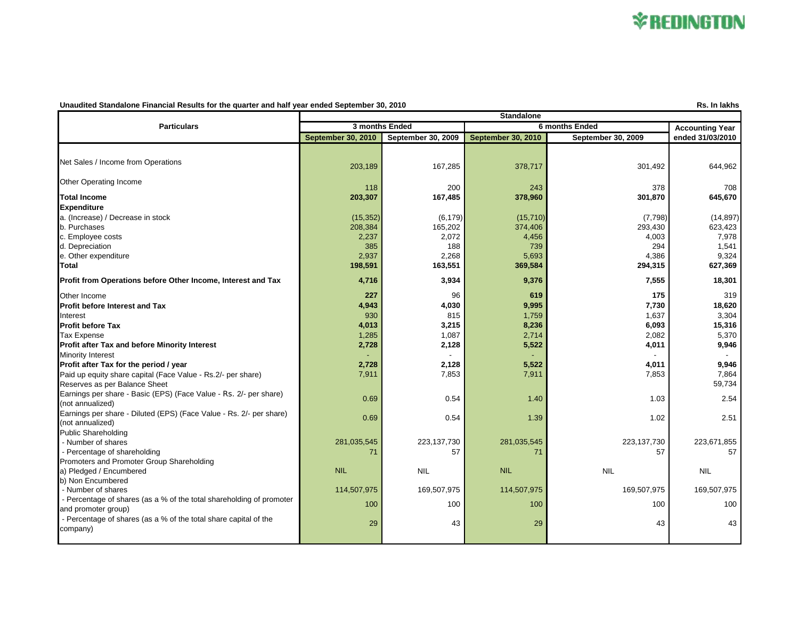

## **Unaudited Standalone Financial Results for the quarter and half year ended September 30, 2010 Rs. In lakhs**

|                                                                                               | <b>Standalone</b>         |                    |                           |                    |                        |  |
|-----------------------------------------------------------------------------------------------|---------------------------|--------------------|---------------------------|--------------------|------------------------|--|
| <b>Particulars</b>                                                                            | 3 months Ended            |                    | 6 months Ended            |                    | <b>Accounting Year</b> |  |
|                                                                                               | <b>September 30, 2010</b> | September 30, 2009 | <b>September 30, 2010</b> | September 30, 2009 | ended 31/03/2010       |  |
|                                                                                               |                           |                    |                           |                    |                        |  |
| Net Sales / Income from Operations                                                            | 203,189                   | 167,285            | 378,717                   | 301,492            | 644,962                |  |
| Other Operating Income                                                                        | 118                       | 200                | 243                       | 378                | 708                    |  |
| <b>Total Income</b>                                                                           | 203,307                   | 167,485            | 378,960                   | 301,870            | 645,670                |  |
| <b>Expenditure</b>                                                                            |                           |                    |                           |                    |                        |  |
| a. (Increase) / Decrease in stock                                                             | (15, 352)                 | (6, 179)           | (15, 710)                 | (7,798)            | (14, 897)              |  |
| b. Purchases                                                                                  | 208,384                   | 165,202            | 374,406                   | 293,430            | 623,423                |  |
| c. Employee costs                                                                             | 2,237                     | 2,072              | 4,456                     | 4,003              | 7,978                  |  |
| d. Depreciation                                                                               | 385                       | 188                | 739                       | 294                | 1,541                  |  |
| e. Other expenditure                                                                          | 2,937                     | 2,268              | 5,693                     | 4,386              | 9,324                  |  |
| Total                                                                                         | 198,591                   | 163,551            | 369,584                   | 294,315            | 627,369                |  |
| Profit from Operations before Other Income, Interest and Tax                                  | 4,716                     | 3,934              | 9,376                     | 7,555              | 18,301                 |  |
|                                                                                               | 227                       | 96                 | 619                       | 175                | 319                    |  |
| Other Income                                                                                  |                           |                    |                           |                    |                        |  |
| <b>Profit before Interest and Tax</b>                                                         | 4,943                     | 4,030              | 9,995                     | 7,730              | 18,620                 |  |
| Interest                                                                                      | 930                       | 815                | 1,759                     | 1,637              | 3,304                  |  |
| <b>Profit before Tax</b>                                                                      | 4,013                     | 3,215              | 8,236                     | 6,093              | 15,316                 |  |
| <b>Tax Expense</b>                                                                            | 1,285                     | 1,087              | 2,714                     | 2,082              | 5,370                  |  |
| Profit after Tax and before Minority Interest                                                 | 2,728                     | 2,128              | 5,522                     | 4,011              | 9,946                  |  |
| Minority Interest                                                                             |                           |                    |                           |                    |                        |  |
| Profit after Tax for the period / year                                                        | 2,728                     | 2,128              | 5,522                     | 4,011              | 9,946                  |  |
| Paid up equity share capital (Face Value - Rs.2/- per share)<br>Reserves as per Balance Sheet | 7,911                     | 7,853              | 7,911                     | 7,853              | 7,864<br>59,734        |  |
| Earnings per share - Basic (EPS) (Face Value - Rs. 2/- per share)                             | 0.69                      | 0.54               | 1.40                      | 1.03               | 2.54                   |  |
| (not annualized)                                                                              |                           |                    |                           |                    |                        |  |
| Earnings per share - Diluted (EPS) (Face Value - Rs. 2/- per share)                           | 0.69                      | 0.54               | 1.39                      | 1.02               | 2.51                   |  |
| (not annualized)                                                                              |                           |                    |                           |                    |                        |  |
| <b>Public Shareholding</b>                                                                    |                           |                    |                           |                    |                        |  |
| - Number of shares                                                                            | 281,035,545               | 223, 137, 730      | 281,035,545               | 223, 137, 730      | 223,671,855            |  |
| - Percentage of shareholding                                                                  | 71                        | 57                 | 71                        | 57                 | 57                     |  |
| Promoters and Promoter Group Shareholding                                                     |                           |                    |                           |                    |                        |  |
| a) Pledged / Encumbered                                                                       | <b>NIL</b>                | <b>NIL</b>         | <b>NIL</b>                | <b>NIL</b>         | <b>NIL</b>             |  |
| b) Non Encumbered                                                                             |                           |                    |                           |                    |                        |  |
| - Number of shares                                                                            | 114,507,975               | 169,507,975        | 114,507,975               | 169,507,975        | 169,507,975            |  |
| - Percentage of shares (as a % of the total shareholding of promoter<br>and promoter group)   | 100                       | 100                | 100                       | 100                | 100                    |  |
| - Percentage of shares (as a % of the total share capital of the                              | 29                        | 43                 | 29                        | 43                 | 43                     |  |
| company)                                                                                      |                           |                    |                           |                    |                        |  |
|                                                                                               |                           |                    |                           |                    |                        |  |